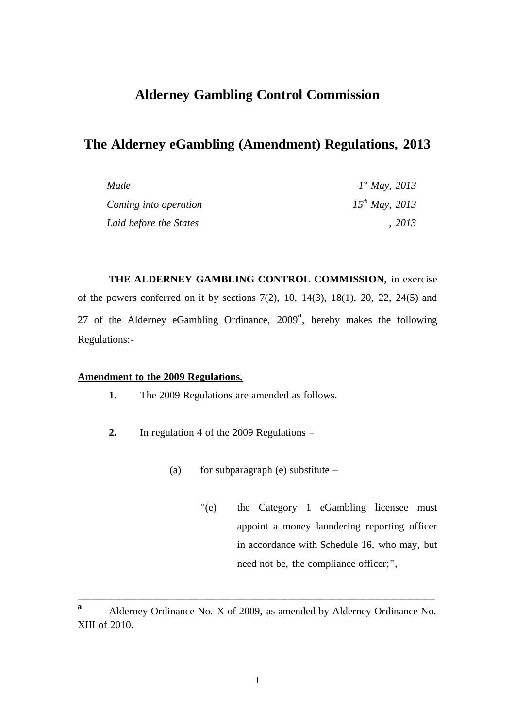# **Alderney Gambling Control Commission**

## **The Alderney eGambling (Amendment) Regulations, 2013**

| Made                   | $I^{st}$ May, 2013  |
|------------------------|---------------------|
| Coming into operation  | $15^{th}$ May, 2013 |
| Laid before the States | .2013               |

**THE ALDERNEY GAMBLING CONTROL COMMISSION**, in exercise of the powers conferred on it by sections 7(2), 10, 14(3), 18(1), 20, 22, 24(5) and 27 of the Alderney eGambling Ordinance, 2009**<sup>a</sup>** , hereby makes the following Regulations:-

### **Amendment to the 2009 Regulations.**

- **1**. The 2009 Regulations are amended as follows.
- **2.** In regulation 4 of the 2009 Regulations
	- (a) for subparagraph (e) substitute  $-$ 
		- "(e) the Category 1 eGambling licensee must appoint a money laundering reporting officer in accordance with Schedule 16, who may, but need not be, the compliance officer;",

\_\_\_\_\_\_\_\_\_\_\_\_\_\_\_\_\_\_\_\_\_\_\_\_\_\_\_\_\_\_\_\_\_\_\_\_\_\_\_\_\_\_\_\_\_\_\_\_\_\_\_\_\_\_\_\_\_\_\_\_\_\_\_\_\_\_\_\_\_

**<sup>a</sup>** Alderney Ordinance No. X of 2009, as amended by Alderney Ordinance No. XIII of 2010.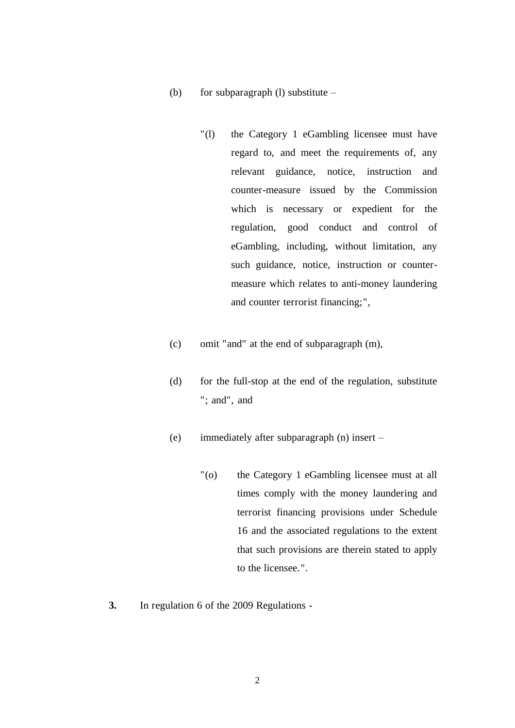- (b) for subparagraph (l) substitute  $-$ 
	- "(l) the Category 1 eGambling licensee must have regard to, and meet the requirements of, any relevant guidance, notice, instruction and counter-measure issued by the Commission which is necessary or expedient for the regulation, good conduct and control of eGambling, including, without limitation, any such guidance, notice, instruction or countermeasure which relates to anti-money laundering and counter terrorist financing;",
- (c) omit "and" at the end of subparagraph (m),
- (d) for the full-stop at the end of the regulation, substitute "; and", and
- (e) immediately after subparagraph (n) insert
	- "(o) the Category 1 eGambling licensee must at all times comply with the money laundering and terrorist financing provisions under Schedule 16 and the associated regulations to the extent that such provisions are therein stated to apply to the licensee.".
- **3.** In regulation 6 of the 2009 Regulations -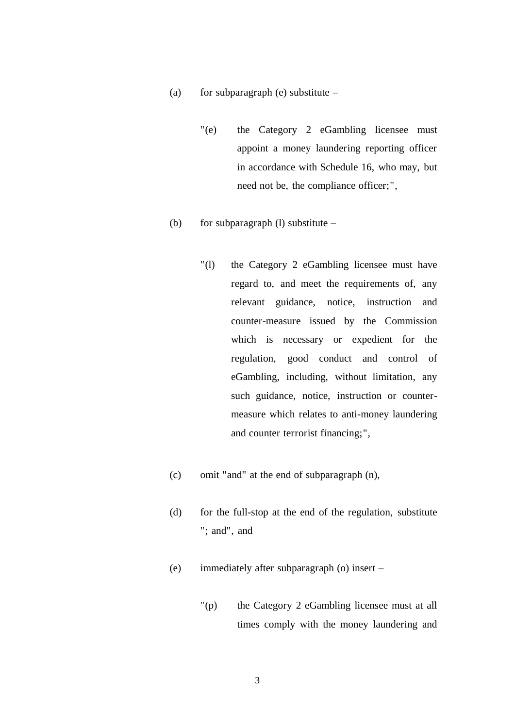- (a) for subparagraph (e) substitute  $-$ 
	- "(e) the Category 2 eGambling licensee must appoint a money laundering reporting officer in accordance with Schedule 16, who may, but need not be, the compliance officer;",
- (b) for subparagraph (l) substitute
	- "(l) the Category 2 eGambling licensee must have regard to, and meet the requirements of, any relevant guidance, notice, instruction and counter-measure issued by the Commission which is necessary or expedient for the regulation, good conduct and control of eGambling, including, without limitation, any such guidance, notice, instruction or countermeasure which relates to anti-money laundering and counter terrorist financing;",
- (c) omit "and" at the end of subparagraph (n),
- (d) for the full-stop at the end of the regulation, substitute "; and", and
- (e) immediately after subparagraph (o) insert
	- "(p) the Category 2 eGambling licensee must at all times comply with the money laundering and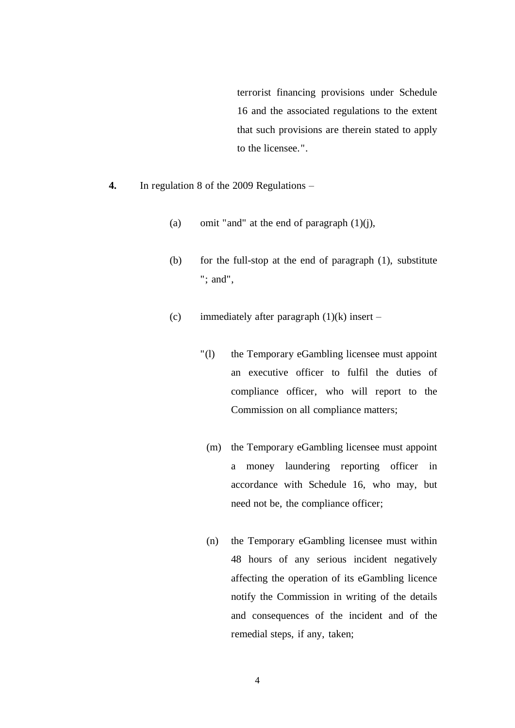terrorist financing provisions under Schedule 16 and the associated regulations to the extent that such provisions are therein stated to apply to the licensee.".

- **4.** In regulation 8 of the 2009 Regulations
	- (a) omit "and" at the end of paragraph  $(1)(i)$ ,
	- (b) for the full-stop at the end of paragraph (1), substitute "; and",
	- (c) immediately after paragraph  $(1)(k)$  insert
		- "(l) the Temporary eGambling licensee must appoint an executive officer to fulfil the duties of compliance officer, who will report to the Commission on all compliance matters;
			- (m) the Temporary eGambling licensee must appoint a money laundering reporting officer in accordance with Schedule 16, who may, but need not be, the compliance officer;
		- (n) the Temporary eGambling licensee must within 48 hours of any serious incident negatively affecting the operation of its eGambling licence notify the Commission in writing of the details and consequences of the incident and of the remedial steps, if any, taken;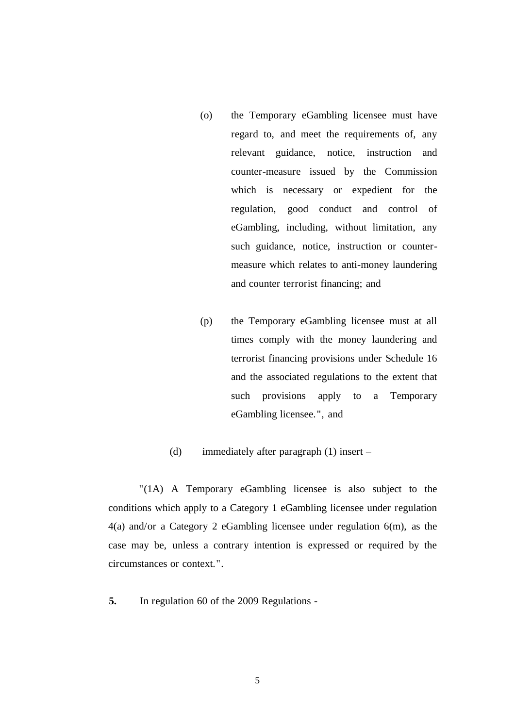- (o) the Temporary eGambling licensee must have regard to, and meet the requirements of, any relevant guidance, notice, instruction and counter-measure issued by the Commission which is necessary or expedient for the regulation, good conduct and control of eGambling, including, without limitation, any such guidance, notice, instruction or countermeasure which relates to anti-money laundering and counter terrorist financing; and
- (p) the Temporary eGambling licensee must at all times comply with the money laundering and terrorist financing provisions under Schedule 16 and the associated regulations to the extent that such provisions apply to a Temporary eGambling licensee.", and
- (d) immediately after paragraph (1) insert –

"(1A) A Temporary eGambling licensee is also subject to the conditions which apply to a Category 1 eGambling licensee under regulation 4(a) and/or a Category 2 eGambling licensee under regulation 6(m), as the case may be, unless a contrary intention is expressed or required by the circumstances or context.".

**5.** In regulation 60 of the 2009 Regulations -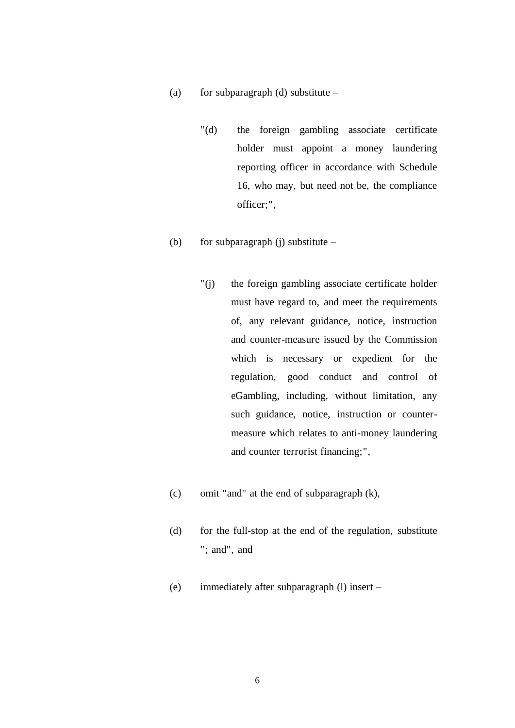- (a) for subparagraph (d) substitute  $-$ 
	- "(d) the foreign gambling associate certificate holder must appoint a money laundering reporting officer in accordance with Schedule 16, who may, but need not be, the compliance officer;",
- (b) for subparagraph (j) substitute  $-$ 
	- "(j) the foreign gambling associate certificate holder must have regard to, and meet the requirements of, any relevant guidance, notice, instruction and counter-measure issued by the Commission which is necessary or expedient for the regulation, good conduct and control of eGambling, including, without limitation, any such guidance, notice, instruction or countermeasure which relates to anti-money laundering and counter terrorist financing;",
- (c) omit "and" at the end of subparagraph (k),
- (d) for the full-stop at the end of the regulation, substitute "; and", and
- (e) immediately after subparagraph (l) insert –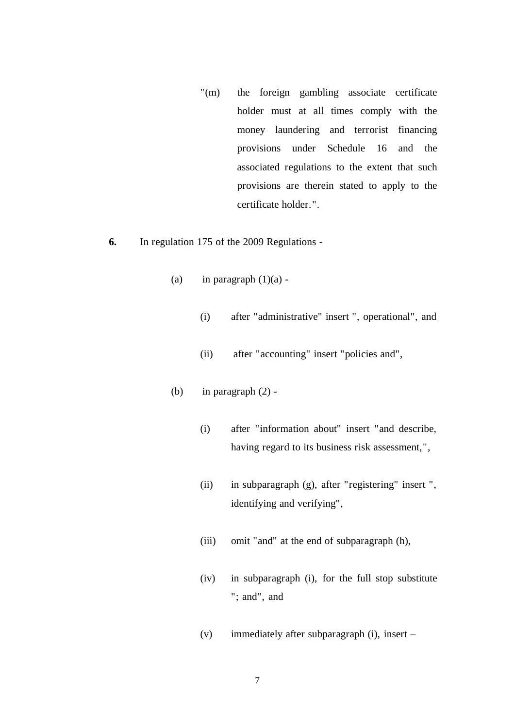"(m) the foreign gambling associate certificate holder must at all times comply with the money laundering and terrorist financing provisions under Schedule 16 and the associated regulations to the extent that such provisions are therein stated to apply to the certificate holder.".

## **6.** In regulation 175 of the 2009 Regulations -

- (a) in paragraph  $(1)(a)$  -
	- (i) after "administrative" insert ", operational", and
	- (ii) after "accounting" insert "policies and",
- (b) in paragraph (2)
	- (i) after "information about" insert "and describe, having regard to its business risk assessment,",
	- (ii) in subparagraph (g), after "registering" insert ", identifying and verifying",
	- (iii) omit "and" at the end of subparagraph (h),
	- (iv) in subparagraph (i), for the full stop substitute "; and", and
	- (v) immediately after subparagraph (i), insert –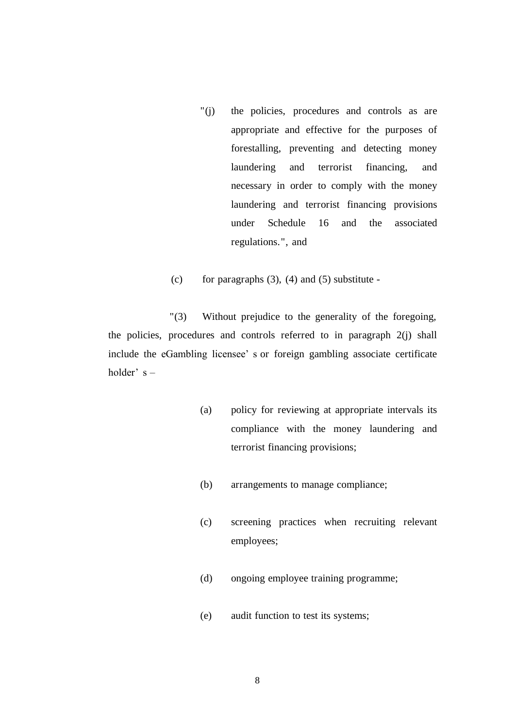- "(j) the policies, procedures and controls as are appropriate and effective for the purposes of forestalling, preventing and detecting money laundering and terrorist financing, and necessary in order to comply with the money laundering and terrorist financing provisions under Schedule 16 and the associated regulations.", and
- (c) for paragraphs  $(3)$ ,  $(4)$  and  $(5)$  substitute -

"(3) Without prejudice to the generality of the foregoing, the policies, procedures and controls referred to in paragraph 2(j) shall include the eGambling licensee' s or foreign gambling associate certificate holder' s –

- (a) policy for reviewing at appropriate intervals its compliance with the money laundering and terrorist financing provisions;
- (b) arrangements to manage compliance;
- (c) screening practices when recruiting relevant employees;
- (d) ongoing employee training programme;
- (e) audit function to test its systems;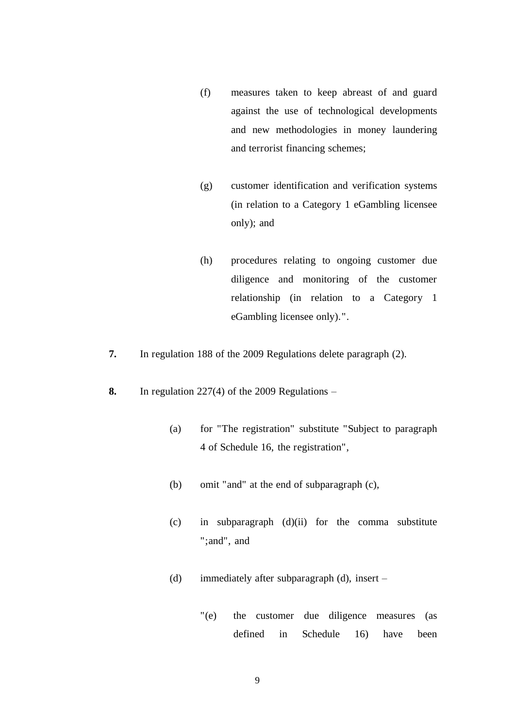- (f) measures taken to keep abreast of and guard against the use of technological developments and new methodologies in money laundering and terrorist financing schemes;
- (g) customer identification and verification systems (in relation to a Category 1 eGambling licensee only); and
- (h) procedures relating to ongoing customer due diligence and monitoring of the customer relationship (in relation to a Category 1 eGambling licensee only).".
- **7.** In regulation 188 of the 2009 Regulations delete paragraph (2).
- **8.** In regulation 227(4) of the 2009 Regulations
	- (a) for "The registration" substitute "Subject to paragraph 4 of Schedule 16, the registration",
	- (b) omit "and" at the end of subparagraph (c),
	- (c) in subparagraph (d)(ii) for the comma substitute ";and", and
	- (d) immediately after subparagraph (d), insert
		- "(e) the customer due diligence measures (as defined in Schedule 16) have been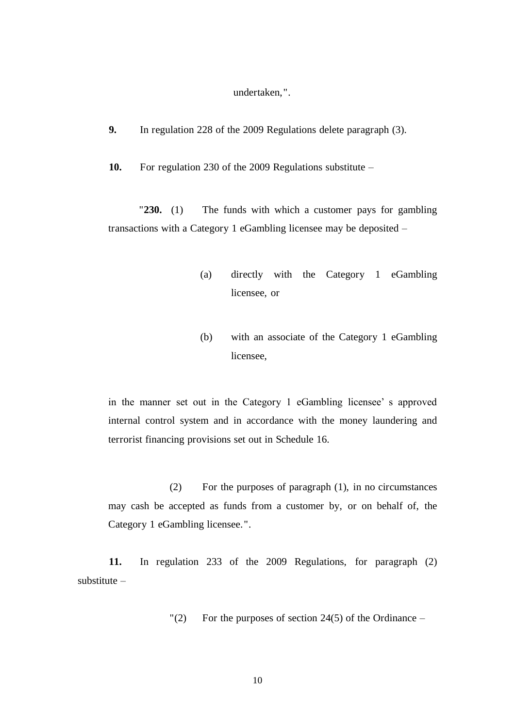#### undertaken,".

- **9.** In regulation 228 of the 2009 Regulations delete paragraph (3).
- **10.** For regulation 230 of the 2009 Regulations substitute –

"**230.** (1) The funds with which a customer pays for gambling transactions with a Category 1 eGambling licensee may be deposited –

- (a) directly with the Category 1 eGambling licensee, or
- (b) with an associate of the Category 1 eGambling licensee,

in the manner set out in the Category 1 eGambling licensee' s approved internal control system and in accordance with the money laundering and terrorist financing provisions set out in Schedule 16.

(2) For the purposes of paragraph (1), in no circumstances may cash be accepted as funds from a customer by, or on behalf of, the Category 1 eGambling licensee.".

**11.** In regulation 233 of the 2009 Regulations, for paragraph (2) substitute –

"(2) For the purposes of section  $24(5)$  of the Ordinance –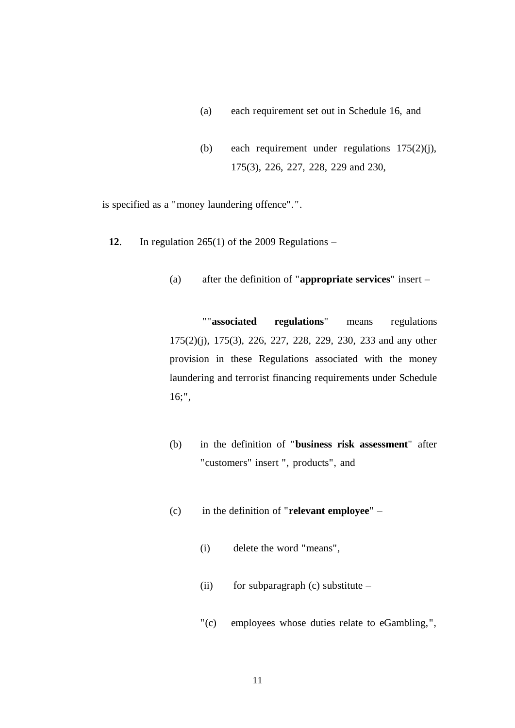- (a) each requirement set out in Schedule 16, and
- (b) each requirement under regulations 175(2)(j), 175(3), 226, 227, 228, 229 and 230,

is specified as a "money laundering offence".".

- **12**. In regulation 265(1) of the 2009 Regulations
	- (a) after the definition of "**appropriate services**" insert –

""**associated regulations**" means regulations 175(2)(j), 175(3), 226, 227, 228, 229, 230, 233 and any other provision in these Regulations associated with the money laundering and terrorist financing requirements under Schedule 16;",

- (b) in the definition of "**business risk assessment**" after "customers" insert ", products", and
- (c) in the definition of "**relevant employee**"
	- (i) delete the word "means",
	- (ii) for subparagraph (c) substitute  $-$
	- "(c) employees whose duties relate to eGambling,",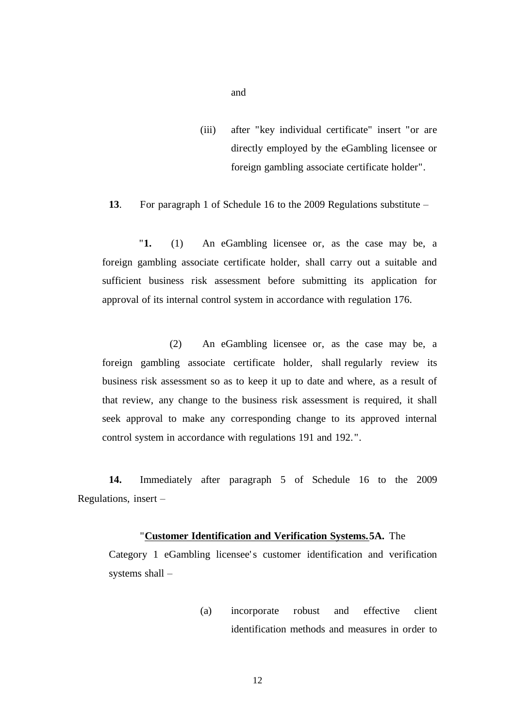(iii) after "key individual certificate" insert "or are directly employed by the eGambling licensee or foreign gambling associate certificate holder".

**13**. For paragraph 1 of Schedule 16 to the 2009 Regulations substitute –

"**1.** (1) An eGambling licensee or, as the case may be, a foreign gambling associate certificate holder, shall carry out a suitable and sufficient business risk assessment before submitting its application for approval of its internal control system in accordance with regulation 176.

(2) An eGambling licensee or, as the case may be, a foreign gambling associate certificate holder, shall regularly review its business risk assessment so as to keep it up to date and where, as a result of that review, any change to the business risk assessment is required, it shall seek approval to make any corresponding change to its approved internal control system in accordance with regulations 191 and 192.".

**14.** Immediately after paragraph 5 of Schedule 16 to the 2009 Regulations, insert –

#### "**Customer Identification and Verification Systems.5A.** The

Category 1 eGambling licensee's customer identification and verification systems shall –

> (a) incorporate robust and effective client identification methods and measures in order to

and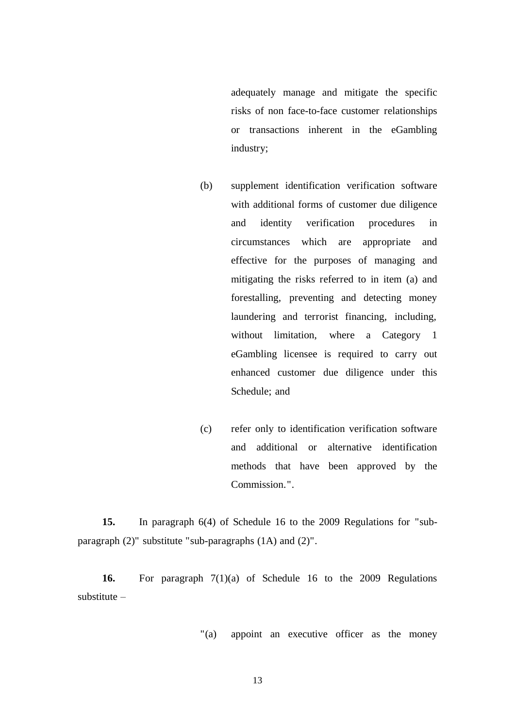adequately manage and mitigate the specific risks of non face-to-face customer relationships or transactions inherent in the eGambling industry;

- (b) supplement identification verification software with additional forms of customer due diligence and identity verification procedures in circumstances which are appropriate and effective for the purposes of managing and mitigating the risks referred to in item (a) and forestalling, preventing and detecting money laundering and terrorist financing, including, without limitation, where a Category 1 eGambling licensee is required to carry out enhanced customer due diligence under this Schedule; and
- (c) refer only to identification verification software and additional or alternative identification methods that have been approved by the Commission.".

**15.** In paragraph 6(4) of Schedule 16 to the 2009 Regulations for "subparagraph (2)" substitute "sub-paragraphs (1A) and (2)".

**16.** For paragraph 7(1)(a) of Schedule 16 to the 2009 Regulations substitute –

"(a) appoint an executive officer as the money

13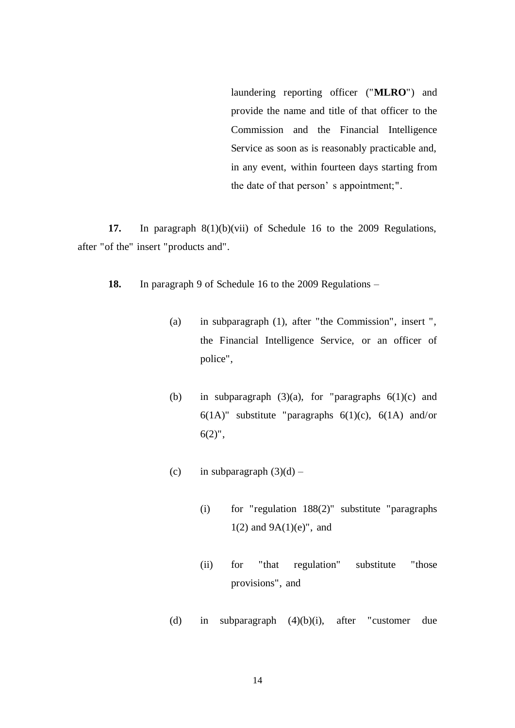laundering reporting officer ("**MLRO**") and provide the name and title of that officer to the Commission and the Financial Intelligence Service as soon as is reasonably practicable and, in any event, within fourteen days starting from the date of that person' s appointment;".

**17.** In paragraph 8(1)(b)(vii) of Schedule 16 to the 2009 Regulations, after "of the" insert "products and".

**18.** In paragraph 9 of Schedule 16 to the 2009 Regulations –

- (a) in subparagraph (1), after "the Commission", insert ", the Financial Intelligence Service, or an officer of police",
- (b) in subparagraph  $(3)(a)$ , for "paragraphs  $6(1)(c)$  and  $6(1)$ " substitute "paragraphs  $6(1)$ (c),  $6(1)$  and/or  $6(2)$ ",
- (c) in subparagraph  $(3)(d)$ 
	- (i) for "regulation 188(2)" substitute "paragraphs  $1(2)$  and  $9A(1)(e)$ ", and
	- (ii) for "that regulation" substitute "those provisions", and
- (d) in subparagraph (4)(b)(i), after "customer due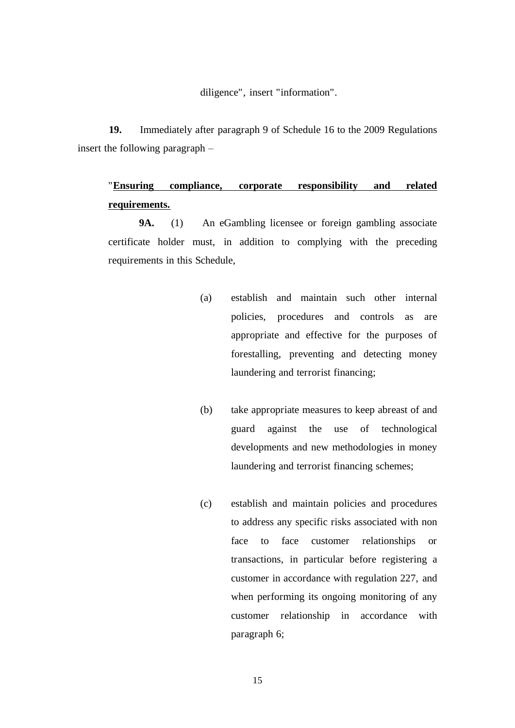diligence", insert "information".

**19.** Immediately after paragraph 9 of Schedule 16 to the 2009 Regulations insert the following paragraph –

# "**Ensuring compliance, corporate responsibility and related requirements.**

**9A.** (1) An eGambling licensee or foreign gambling associate certificate holder must, in addition to complying with the preceding requirements in this Schedule,

- (a) establish and maintain such other internal policies, procedures and controls as are appropriate and effective for the purposes of forestalling, preventing and detecting money laundering and terrorist financing;
- (b) take appropriate measures to keep abreast of and guard against the use of technological developments and new methodologies in money laundering and terrorist financing schemes;
- (c) establish and maintain policies and procedures to address any specific risks associated with non face to face customer relationships or transactions, in particular before registering a customer in accordance with regulation 227, and when performing its ongoing monitoring of any customer relationship in accordance with paragraph 6;

15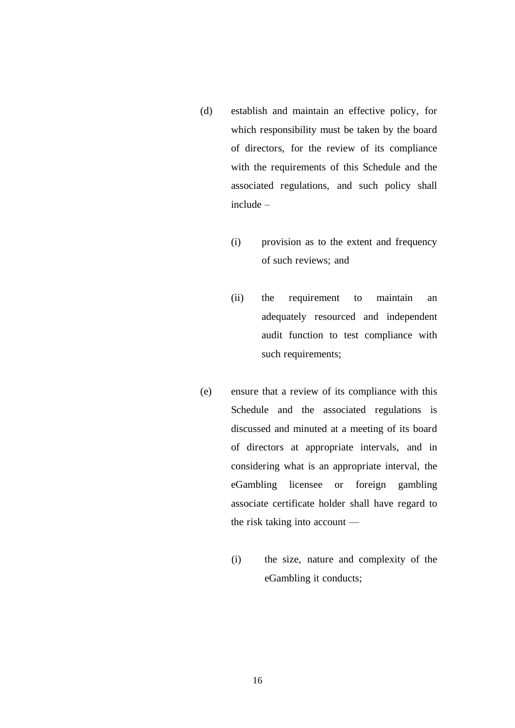- (d) establish and maintain an effective policy, for which responsibility must be taken by the board of directors, for the review of its compliance with the requirements of this Schedule and the associated regulations, and such policy shall include –
	- (i) provision as to the extent and frequency of such reviews; and
	- (ii) the requirement to maintain an adequately resourced and independent audit function to test compliance with such requirements;
- (e) ensure that a review of its compliance with this Schedule and the associated regulations is discussed and minuted at a meeting of its board of directors at appropriate intervals, and in considering what is an appropriate interval, the eGambling licensee or foreign gambling associate certificate holder shall have regard to the risk taking into account —
	- (i) the size, nature and complexity of the eGambling it conducts;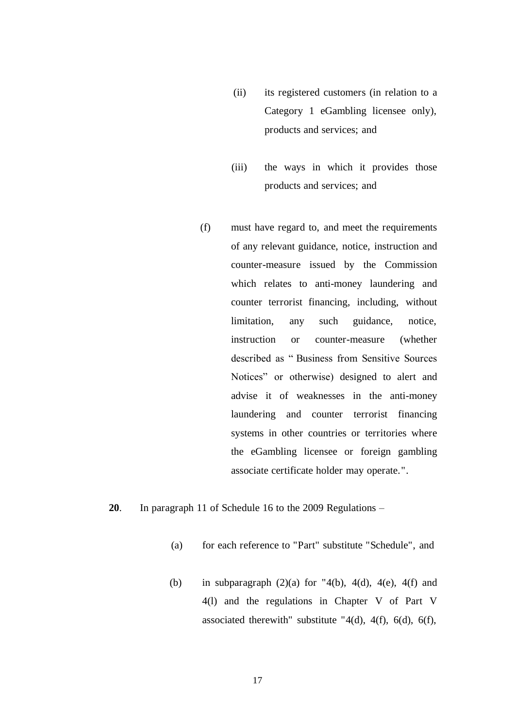- (ii) its registered customers (in relation to a Category 1 eGambling licensee only), products and services; and
- (iii) the ways in which it provides those products and services; and
- (f) must have regard to, and meet the requirements of any relevant guidance, notice, instruction and counter-measure issued by the Commission which relates to anti-money laundering and counter terrorist financing, including, without limitation, any such guidance, notice, instruction or counter-measure (whether described as " Business from Sensitive Sources Notices" or otherwise) designed to alert and advise it of weaknesses in the anti-money laundering and counter terrorist financing systems in other countries or territories where the eGambling licensee or foreign gambling associate certificate holder may operate.".
- **20**. In paragraph 11 of Schedule 16 to the 2009 Regulations
	- (a) for each reference to "Part" substitute "Schedule", and
	- (b) in subparagraph  $(2)(a)$  for "4(b), 4(d), 4(e), 4(f) and 4(l) and the regulations in Chapter V of Part V associated therewith" substitute "4(d), 4(f), 6(d), 6(f),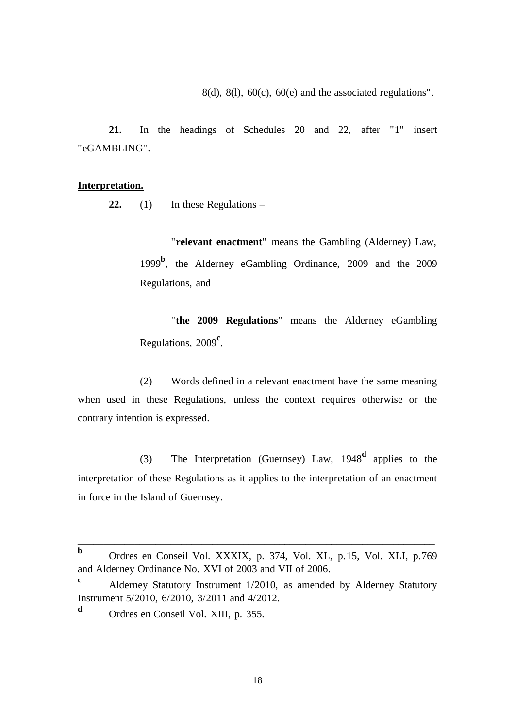$8(d)$ ,  $8(1)$ ,  $60(c)$ ,  $60(e)$  and the associated regulations".

**21.** In the headings of Schedules 20 and 22, after "1" insert "eGAMBLING".

#### **Interpretation.**

**22.** (1) In these Regulations –

"**relevant enactment**" means the Gambling (Alderney) Law, 1999**<sup>b</sup>** , the Alderney eGambling Ordinance, 2009 and the 2009 Regulations, and

"**the 2009 Regulations**" means the Alderney eGambling Regulations, 2009**<sup>c</sup>** .

(2) Words defined in a relevant enactment have the same meaning when used in these Regulations, unless the context requires otherwise or the contrary intention is expressed.

(3) The Interpretation (Guernsey) Law, 1948**<sup>d</sup>** applies to the interpretation of these Regulations as it applies to the interpretation of an enactment in force in the Island of Guernsey.

\_\_\_\_\_\_\_\_\_\_\_\_\_\_\_\_\_\_\_\_\_\_\_\_\_\_\_\_\_\_\_\_\_\_\_\_\_\_\_\_\_\_\_\_\_\_\_\_\_\_\_\_\_\_\_\_\_\_\_\_\_\_\_\_\_\_\_\_\_

**b** Ordres en Conseil Vol. XXXIX, p. 374, Vol. XL, p.15, Vol. XLI, p.769 and Alderney Ordinance No. XVI of 2003 and VII of 2006.

**<sup>c</sup>** Alderney Statutory Instrument 1/2010, as amended by Alderney Statutory Instrument 5/2010, 6/2010, 3/2011 and 4/2012.

**<sup>d</sup>** Ordres en Conseil Vol. XIII, p. 355.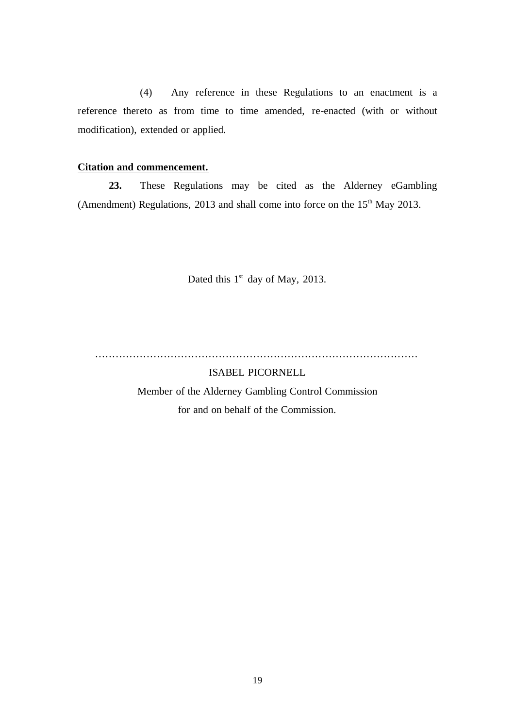(4) Any reference in these Regulations to an enactment is a reference thereto as from time to time amended, re-enacted (with or without modification), extended or applied.

## **Citation and commencement.**

**23.** These Regulations may be cited as the Alderney eGambling (Amendment) Regulations, 2013 and shall come into force on the  $15<sup>th</sup>$  May 2013.

Dated this  $1<sup>st</sup>$  day of May, 2013.

..............................................................................................

### ISABEL PICORNELL

Member of the Alderney Gambling Control Commission for and on behalf of the Commission.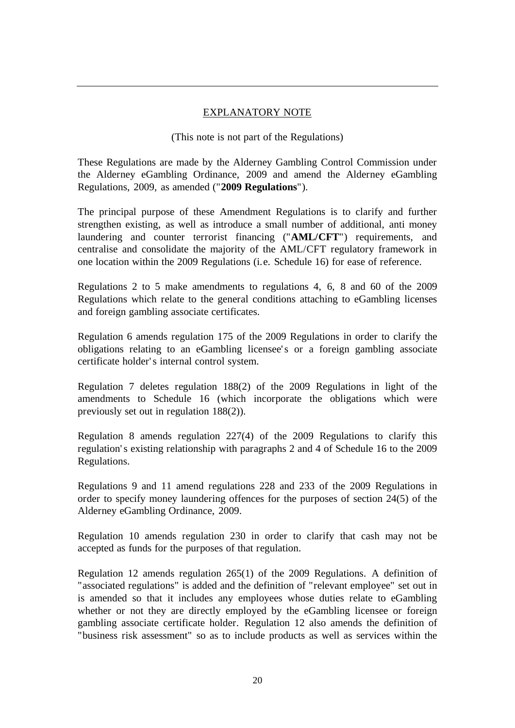### EXPLANATORY NOTE

(This note is not part of the Regulations)

These Regulations are made by the Alderney Gambling Control Commission under the Alderney eGambling Ordinance, 2009 and amend the Alderney eGambling Regulations, 2009, as amended ("**2009 Regulations**").

The principal purpose of these Amendment Regulations is to clarify and further strengthen existing, as well as introduce a small number of additional, anti money laundering and counter terrorist financing ("**AML/CFT**") requirements, and centralise and consolidate the majority of the AML/CFT regulatory framework in one location within the 2009 Regulations (i.e. Schedule 16) for ease of reference.

Regulations 2 to 5 make amendments to regulations 4, 6, 8 and 60 of the 2009 Regulations which relate to the general conditions attaching to eGambling licenses and foreign gambling associate certificates.

Regulation 6 amends regulation 175 of the 2009 Regulations in order to clarify the obligations relating to an eGambling licensee's or a foreign gambling associate certificate holder' s internal control system.

Regulation 7 deletes regulation 188(2) of the 2009 Regulations in light of the amendments to Schedule 16 (which incorporate the obligations which were previously set out in regulation 188(2)).

Regulation 8 amends regulation 227(4) of the 2009 Regulations to clarify this regulation' s existing relationship with paragraphs 2 and 4 of Schedule 16 to the 2009 Regulations.

Regulations 9 and 11 amend regulations 228 and 233 of the 2009 Regulations in order to specify money laundering offences for the purposes of section 24(5) of the Alderney eGambling Ordinance, 2009.

Regulation 10 amends regulation 230 in order to clarify that cash may not be accepted as funds for the purposes of that regulation.

Regulation 12 amends regulation 265(1) of the 2009 Regulations. A definition of "associated regulations" is added and the definition of "relevant employee" set out in is amended so that it includes any employees whose duties relate to eGambling whether or not they are directly employed by the eGambling licensee or foreign gambling associate certificate holder. Regulation 12 also amends the definition of "business risk assessment" so as to include products as well as services within the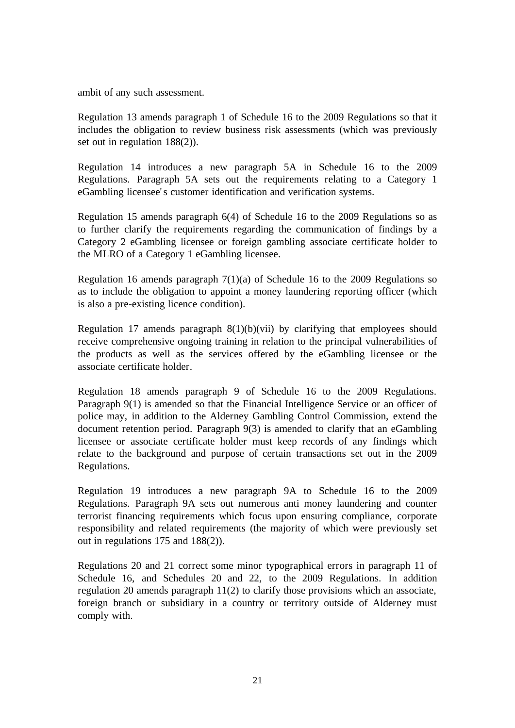ambit of any such assessment.

Regulation 13 amends paragraph 1 of Schedule 16 to the 2009 Regulations so that it includes the obligation to review business risk assessments (which was previously set out in regulation 188(2)).

Regulation 14 introduces a new paragraph 5A in Schedule 16 to the 2009 Regulations. Paragraph 5A sets out the requirements relating to a Category 1 eGambling licensee' s customer identification and verification systems.

Regulation 15 amends paragraph 6(4) of Schedule 16 to the 2009 Regulations so as to further clarify the requirements regarding the communication of findings by a Category 2 eGambling licensee or foreign gambling associate certificate holder to the MLRO of a Category 1 eGambling licensee.

Regulation 16 amends paragraph 7(1)(a) of Schedule 16 to the 2009 Regulations so as to include the obligation to appoint a money laundering reporting officer (which is also a pre-existing licence condition).

Regulation 17 amends paragraph  $8(1)(b)(vii)$  by clarifying that employees should receive comprehensive ongoing training in relation to the principal vulnerabilities of the products as well as the services offered by the eGambling licensee or the associate certificate holder.

Regulation 18 amends paragraph 9 of Schedule 16 to the 2009 Regulations. Paragraph 9(1) is amended so that the Financial Intelligence Service or an officer of police may, in addition to the Alderney Gambling Control Commission, extend the document retention period. Paragraph 9(3) is amended to clarify that an eGambling licensee or associate certificate holder must keep records of any findings which relate to the background and purpose of certain transactions set out in the 2009 Regulations.

Regulation 19 introduces a new paragraph 9A to Schedule 16 to the 2009 Regulations. Paragraph 9A sets out numerous anti money laundering and counter terrorist financing requirements which focus upon ensuring compliance, corporate responsibility and related requirements (the majority of which were previously set out in regulations 175 and 188(2)).

Regulations 20 and 21 correct some minor typographical errors in paragraph 11 of Schedule 16, and Schedules 20 and 22, to the 2009 Regulations. In addition regulation 20 amends paragraph 11(2) to clarify those provisions which an associate, foreign branch or subsidiary in a country or territory outside of Alderney must comply with.